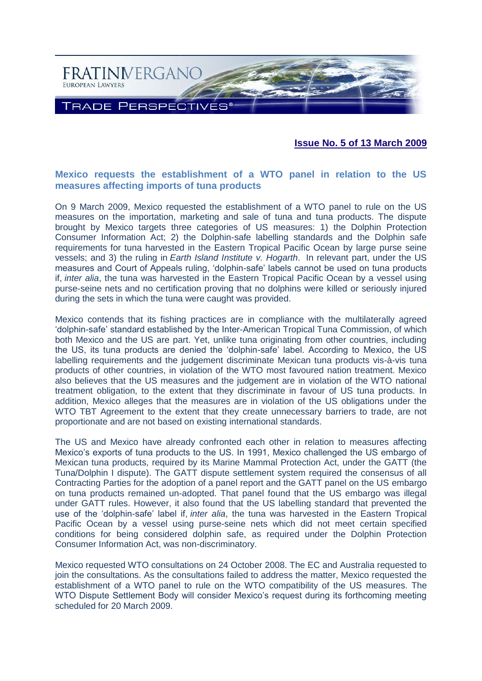

**Issue No. 5 of 13 March 2009**

# **Mexico requests the establishment of a WTO panel in relation to the US measures affecting imports of tuna products**

On 9 March 2009, Mexico requested the establishment of a WTO panel to rule on the US measures on the importation, marketing and sale of tuna and tuna products. The dispute brought by Mexico targets three categories of US measures: 1) the Dolphin Protection Consumer Information Act; 2) the Dolphin-safe labelling standards and the Dolphin safe requirements for tuna harvested in the Eastern Tropical Pacific Ocean by large purse seine vessels; and 3) the ruling in *Earth Island Institute v. Hogarth*. In relevant part, under the US measures and Court of Appeals ruling, 'dolphin-safe' labels cannot be used on tuna products if, *inter alia*, the tuna was harvested in the Eastern Tropical Pacific Ocean by a vessel using purse-seine nets and no certification proving that no dolphins were killed or seriously injured during the sets in which the tuna were caught was provided.

Mexico contends that its fishing practices are in compliance with the multilaterally agreed 'dolphin-safe' standard established by the Inter-American Tropical Tuna Commission, of which both Mexico and the US are part. Yet, unlike tuna originating from other countries, including the US, its tuna products are denied the 'dolphin-safe' label. According to Mexico, the US labelling requirements and the judgement discriminate Mexican tuna products vis-à-vis tuna products of other countries, in violation of the WTO most favoured nation treatment. Mexico also believes that the US measures and the judgement are in violation of the WTO national treatment obligation, to the extent that they discriminate in favour of US tuna products. In addition, Mexico alleges that the measures are in violation of the US obligations under the WTO TBT Agreement to the extent that they create unnecessary barriers to trade, are not proportionate and are not based on existing international standards.

The US and Mexico have already confronted each other in relation to measures affecting Mexico's exports of tuna products to the US. In 1991, Mexico challenged the US embargo of Mexican tuna products, required by its Marine Mammal Protection Act, under the GATT (the Tuna/Dolphin I dispute). The GATT dispute settlement system required the consensus of all Contracting Parties for the adoption of a panel report and the GATT panel on the US embargo on tuna products remained un-adopted. That panel found that the US embargo was illegal under GATT rules. However, it also found that the US labelling standard that prevented the use of the 'dolphin-safe' label if, *inter alia*, the tuna was harvested in the Eastern Tropical Pacific Ocean by a vessel using purse-seine nets which did not meet certain specified conditions for being considered dolphin safe, as required under the Dolphin Protection Consumer Information Act, was non-discriminatory.

Mexico requested WTO consultations on 24 October 2008. The EC and Australia requested to join the consultations. As the consultations failed to address the matter, Mexico requested the establishment of a WTO panel to rule on the WTO compatibility of the US measures. The WTO Dispute Settlement Body will consider Mexico's request during its forthcoming meeting scheduled for 20 March 2009.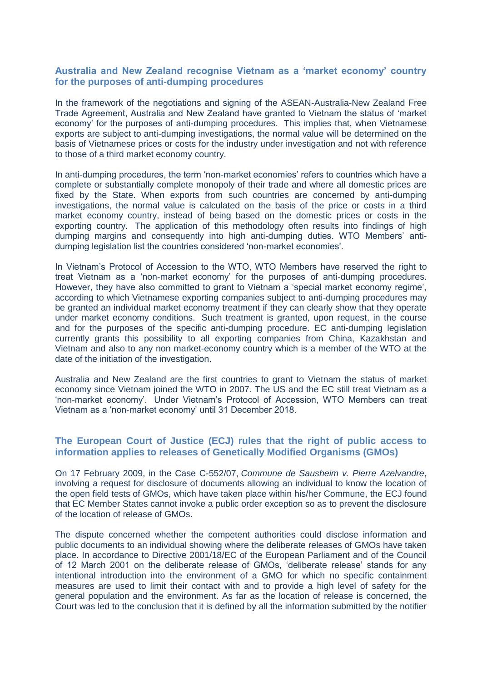## **Australia and New Zealand recognise Vietnam as a 'market economy' country for the purposes of anti-dumping procedures**

In the framework of the negotiations and signing of the ASEAN-Australia-New Zealand Free Trade Agreement, Australia and New Zealand have granted to Vietnam the status of 'market economy' for the purposes of anti-dumping procedures. This implies that, when Vietnamese exports are subject to anti-dumping investigations, the normal value will be determined on the basis of Vietnamese prices or costs for the industry under investigation and not with reference to those of a third market economy country.

In anti-dumping procedures, the term 'non-market economies' refers to countries which have a complete or substantially complete monopoly of their trade and where all domestic prices are fixed by the State. When exports from such countries are concerned by anti-dumping investigations, the normal value is calculated on the basis of the price or costs in a third market economy country, instead of being based on the domestic prices or costs in the exporting country. The application of this methodology often results into findings of high dumping margins and consequently into high anti-dumping duties. WTO Members' antidumping legislation list the countries considered 'non-market economies'.

In Vietnam's Protocol of Accession to the WTO, WTO Members have reserved the right to treat Vietnam as a 'non-market economy' for the purposes of anti-dumping procedures. However, they have also committed to grant to Vietnam a 'special market economy regime', according to which Vietnamese exporting companies subject to anti-dumping procedures may be granted an individual market economy treatment if they can clearly show that they operate under market economy conditions. Such treatment is granted, upon request, in the course and for the purposes of the specific anti-dumping procedure. EC anti-dumping legislation currently grants this possibility to all exporting companies from China, Kazakhstan and Vietnam and also to any non market-economy country which is a member of the WTO at the date of the initiation of the investigation.

Australia and New Zealand are the first countries to grant to Vietnam the status of market economy since Vietnam joined the WTO in 2007. The US and the EC still treat Vietnam as a 'non-market economy'. Under Vietnam's Protocol of Accession, WTO Members can treat Vietnam as a 'non-market economy' until 31 December 2018.

#### **The European Court of Justice (ECJ) rules that the right of public access to information applies to releases of Genetically Modified Organisms (GMOs)**

On 17 February 2009, in the Case C-552/07, *Commune de Sausheim v. Pierre Azelvandre*, involving a request for disclosure of documents allowing an individual to know the location of the open field tests of GMOs, which have taken place within his/her Commune, the ECJ found that EC Member States cannot invoke a public order exception so as to prevent the disclosure of the location of release of GMOs.

The dispute concerned whether the competent authorities could disclose information and public documents to an individual showing where the deliberate releases of GMOs have taken place. In accordance to Directive 2001/18/EC of the European Parliament and of the Council of 12 March 2001 on the deliberate release of GMOs, 'deliberate release' stands for any intentional introduction into the environment of a GMO for which no specific containment measures are used to limit their contact with and to provide a high level of safety for the general population and the environment. As far as the location of release is concerned, the Court was led to the conclusion that it is defined by all the information submitted by the notifier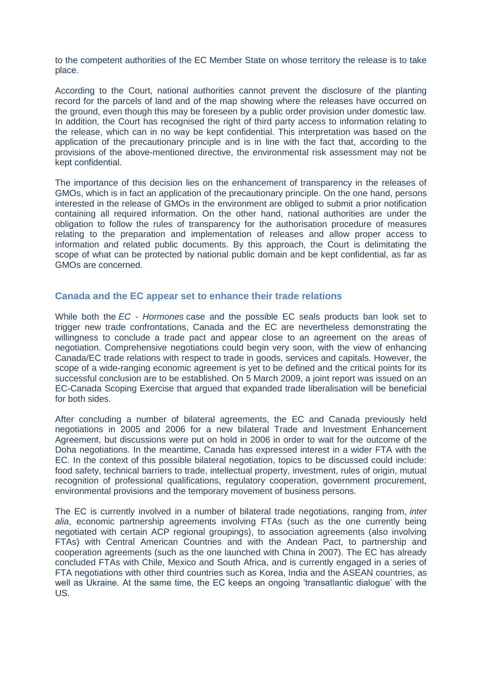to the competent authorities of the EC Member State on whose territory the release is to take place.

According to the Court, national authorities cannot prevent the disclosure of the planting record for the parcels of land and of the map showing where the releases have occurred on the ground, even though this may be foreseen by a public order provision under domestic law. In addition, the Court has recognised the right of third party access to information relating to the release, which can in no way be kept confidential. This interpretation was based on the application of the precautionary principle and is in line with the fact that, according to the provisions of the above-mentioned directive, the environmental risk assessment may not be kept confidential.

The importance of this decision lies on the enhancement of transparency in the releases of GMOs, which is in fact an application of the precautionary principle. On the one hand, persons interested in the release of GMOs in the environment are obliged to submit a prior notification containing all required information. On the other hand, national authorities are under the obligation to follow the rules of transparency for the authorisation procedure of measures relating to the preparation and implementation of releases and allow proper access to information and related public documents. By this approach, the Court is delimitating the scope of what can be protected by national public domain and be kept confidential, as far as GMOs are concerned.

#### **Canada and the EC appear set to enhance their trade relations**

While both the *EC - Hormones* case and the possible EC seals products ban look set to trigger new trade confrontations, Canada and the EC are nevertheless demonstrating the willingness to conclude a trade pact and appear close to an agreement on the areas of negotiation. Comprehensive negotiations could begin very soon, with the view of enhancing Canada/EC trade relations with respect to trade in goods, services and capitals. However, the scope of a wide-ranging economic agreement is yet to be defined and the critical points for its successful conclusion are to be established. On 5 March 2009, a joint report was issued on an EC-Canada Scoping Exercise that argued that expanded trade liberalisation will be beneficial for both sides.

After concluding a number of bilateral agreements, the EC and Canada previously held negotiations in 2005 and 2006 for a new bilateral Trade and Investment Enhancement Agreement, but discussions were put on hold in 2006 in order to wait for the outcome of the Doha negotiations. In the meantime, Canada has expressed interest in a wider FTA with the EC. In the context of this possible bilateral negotiation, topics to be discussed could include: food safety, technical barriers to trade, intellectual property, investment, rules of origin, mutual recognition of professional qualifications, regulatory cooperation, government procurement, environmental provisions and the temporary movement of business persons.

The EC is currently involved in a number of bilateral trade negotiations, ranging from, *inter alia*, economic partnership agreements involving FTAs (such as the one currently being negotiated with certain ACP regional groupings), to association agreements (also involving FTAs) with Central American Countries and with the Andean Pact, to partnership and cooperation agreements (such as the one launched with China in 2007). The EC has already concluded FTAs with Chile, Mexico and South Africa, and is currently engaged in a series of FTA negotiations with other third countries such as Korea, India and the ASEAN countries, as well as Ukraine. At the same time, the EC keeps an ongoing 'transatlantic dialogue' with the US.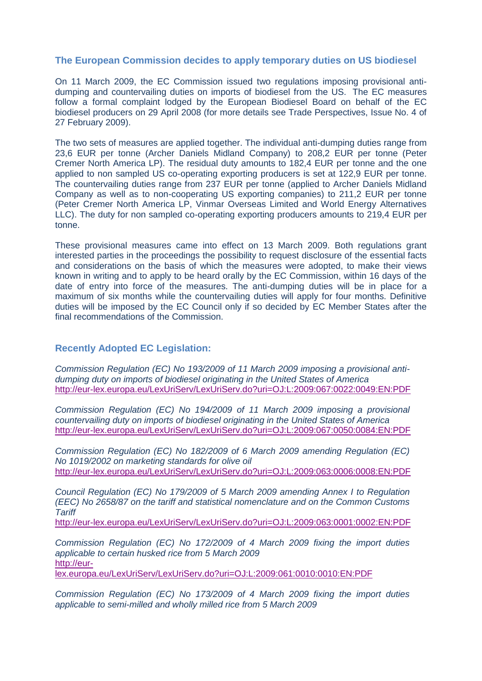## **The European Commission decides to apply temporary duties on US biodiesel**

On 11 March 2009, the EC Commission issued two regulations imposing provisional antidumping and countervailing duties on imports of biodiesel from the US. The EC measures follow a formal complaint lodged by the European Biodiesel Board on behalf of the EC biodiesel producers on 29 April 2008 (for more details see Trade Perspectives, Issue No. 4 of 27 February 2009).

The two sets of measures are applied together. The individual anti-dumping duties range from 23,6 EUR per tonne (Archer Daniels Midland Company) to 208,2 EUR per tonne (Peter Cremer North America LP). The residual duty amounts to 182,4 EUR per tonne and the one applied to non sampled US co-operating exporting producers is set at 122,9 EUR per tonne. The countervailing duties range from 237 EUR per tonne (applied to Archer Daniels Midland Company as well as to non-cooperating US exporting companies) to 211,2 EUR per tonne (Peter Cremer North America LP, Vinmar Overseas Limited and World Energy Alternatives LLC). The duty for non sampled co-operating exporting producers amounts to 219,4 EUR per tonne.

These provisional measures came into effect on 13 March 2009. Both regulations grant interested parties in the proceedings the possibility to request disclosure of the essential facts and considerations on the basis of which the measures were adopted, to make their views known in writing and to apply to be heard orally by the EC Commission, within 16 days of the date of entry into force of the measures. The anti-dumping duties will be in place for a maximum of six months while the countervailing duties will apply for four months. Definitive duties will be imposed by the EC Council only if so decided by EC Member States after the final recommendations of the Commission.

### **Recently Adopted EC Legislation:**

*Commission Regulation (EC) No 193/2009 of 11 March 2009 imposing a provisional antidumping duty on imports of biodiesel originating in the United States of America* <http://eur-lex.europa.eu/LexUriServ/LexUriServ.do?uri=OJ:L:2009:067:0022:0049:EN:PDF>

*Commission Regulation (EC) No 194/2009 of 11 March 2009 imposing a provisional countervailing duty on imports of biodiesel originating in the United States of America* <http://eur-lex.europa.eu/LexUriServ/LexUriServ.do?uri=OJ:L:2009:067:0050:0084:EN:PDF>

*Commission Regulation (EC) No 182/2009 of 6 March 2009 amending Regulation (EC) No 1019/2002 on marketing standards for olive oil* <http://eur-lex.europa.eu/LexUriServ/LexUriServ.do?uri=OJ:L:2009:063:0006:0008:EN:PDF>

*Council Regulation (EC) No 179/2009 of 5 March 2009 amending Annex I to Regulation (EEC) No 2658/87 on the tariff and statistical nomenclature and on the Common Customs Tariff*

<http://eur-lex.europa.eu/LexUriServ/LexUriServ.do?uri=OJ:L:2009:063:0001:0002:EN:PDF>

*Commission Regulation (EC) No 172/2009 of 4 March 2009 fixing the import duties applicable to certain husked rice from 5 March 2009* [http://eur-](http://eur-lex.europa.eu/LexUriServ/LexUriServ.do?uri=OJ:L:2009:061:0010:0010:EN:PDF)

[lex.europa.eu/LexUriServ/LexUriServ.do?uri=OJ:L:2009:061:0010:0010:EN:PDF](http://eur-lex.europa.eu/LexUriServ/LexUriServ.do?uri=OJ:L:2009:061:0010:0010:EN:PDF)

*Commission Regulation (EC) No 173/2009 of 4 March 2009 fixing the import duties applicable to semi-milled and wholly milled rice from 5 March 2009*